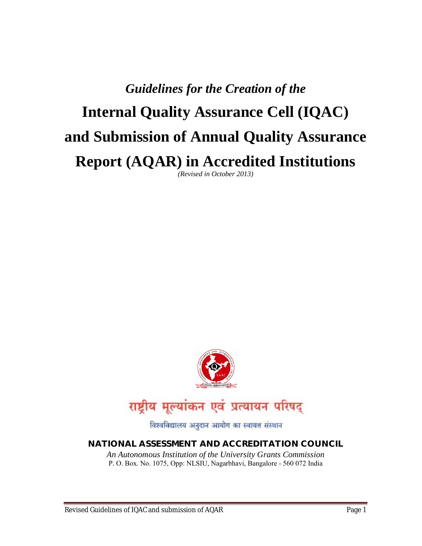# *Guidelines for the Creation of the*  **Internal Quality Assurance Cell (IQAC) and Submission of Annual Quality Assurance Report (AQAR) in Accredited Institutions** *(Revised in October 2013)*



राष्ट्रीय मूल्यांकन एवं प्रत्यायन परिषद्

विश्वविद्यालय अनुदान आयोग का स्वायत्त संस्थान

**NATIONAL ASSESSMENT AND ACCREDITATION COUNCIL** *An Autonomous Institution of the University Grants Commission* P. O. Box. No. 1075, Opp: NLSIU, Nagarbhavi, Bangalore - 560 072 India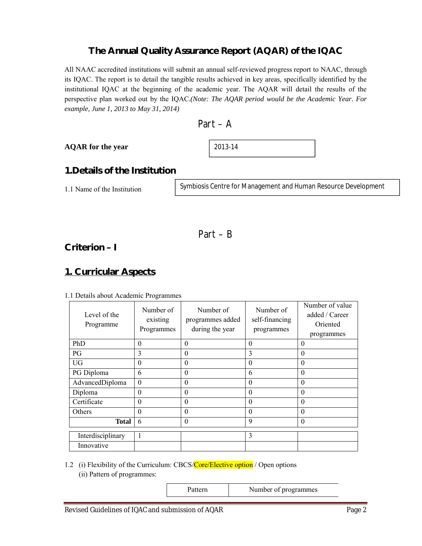# **The Annual Quality Assurance Report (AQAR) of the IQAC**

All NAAC accredited institutions will submit an annual self-reviewed progress report to NAAC, through its IQAC. The report is to detail the tangible results achieved in key areas, specifically identified by the institutional IQAC at the beginning of the academic year. The AQAR will detail the results of the perspective plan worked out by the IQAC.*(Note: The AQAR period would be the Academic Year. For example, June 1, 2013 to May 31, 2014)*

### **AQAR for the year**

2013-14

# **1.Details of the Institution**

1.1 Name of the Institution

Symbiosis Centre for Management and Human Resource Development

$$
Part-B
$$

**Criterion – I**

# **1. Curricular Aspects**

### 1.1 Details about Academic Programmes

| Level of the<br>Programme | Number of<br>existing<br>Programmes | Number of<br>programmes added<br>during the year | Number of<br>self-financing<br>programmes | Number of value<br>added / Career<br>Oriented<br>programmes |
|---------------------------|-------------------------------------|--------------------------------------------------|-------------------------------------------|-------------------------------------------------------------|
| PhD                       | $\theta$                            | $\theta$                                         | $\theta$                                  | $\theta$                                                    |
| PG                        | 3                                   | $\theta$                                         | 3                                         | $\theta$                                                    |
| <b>UG</b>                 | $\theta$                            | $\theta$                                         | $\theta$                                  | $\theta$                                                    |
| PG Diploma                | 6                                   | $\theta$                                         | 6                                         | $\theta$                                                    |
| AdvancedDiploma           | $\mathbf{0}$                        | $\theta$                                         | $\Omega$                                  | $\Omega$                                                    |
| Diploma                   | $\mathbf{0}$                        | $\mathbf{0}$                                     | $\theta$                                  | $\theta$                                                    |
| Certificate               | $\theta$                            | $\theta$                                         | $\Omega$                                  | $\theta$                                                    |
| Others                    | $\theta$                            | $\theta$                                         | $\theta$                                  | $\theta$                                                    |
| <b>Total</b>              | 6                                   | $\mathbf{0}$                                     | 9                                         | $\theta$                                                    |
| Interdisciplinary         | 1                                   |                                                  | 3                                         |                                                             |
| Innovative                |                                     |                                                  |                                           |                                                             |

# 1.2 (i) Flexibility of the Curriculum: CBCS/Core/Elective option / Open options

(ii) Pattern of programmes:

Pattern Number of programmes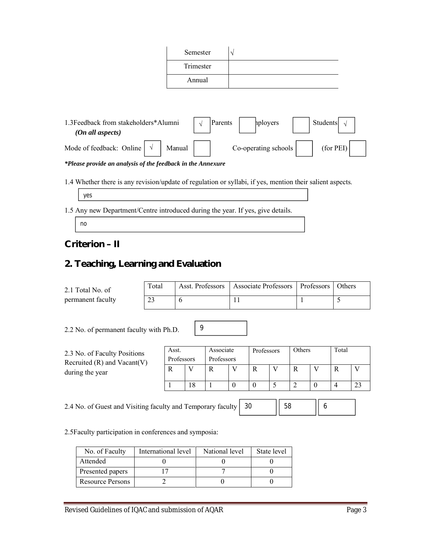| Semester  |  |
|-----------|--|
| Trimester |  |
| Annual    |  |

| 1.3Feedback from stakeholders*Alumni<br>(On all aspects) |  |        | Parents<br>hployers |  |                        | Students |           |  |
|----------------------------------------------------------|--|--------|---------------------|--|------------------------|----------|-----------|--|
| Mode of feedback: Online                                 |  | Manual |                     |  | Co-operating schools I |          | (for PEI) |  |

*\*Please provide an analysis of the feedback in the Annexure*

1.4 Whether there is any revision/update of regulation or syllabi, if yes, mention their salient aspects.

| ves |  |
|-----|--|

1.5 Any new Department/Centre introduced during the year. If yes, give details.

no

**Criterion – II**

# **2. Teaching, Learning and Evaluation**

2.1 Total No. of permanent faculty

| Total | Asst. Professors   Associate Professors   Professors   Others |  |
|-------|---------------------------------------------------------------|--|
|       |                                                               |  |

2.2 No. of permanent faculty with Ph.D.

| 2.3 No. of Faculty Positions<br>Recruited $(R)$ and Vacant $(V)$ | Asst.<br>Professors |  | Associate<br>Professors |  | Professors |  | Others |  | Total |  |
|------------------------------------------------------------------|---------------------|--|-------------------------|--|------------|--|--------|--|-------|--|
| during the year                                                  |                     |  |                         |  |            |  |        |  |       |  |
|                                                                  |                     |  |                         |  |            |  |        |  |       |  |

2.4 No. of Guest and Visiting faculty and Temporary faculty 30 58 || 6

9

2.5Faculty participation in conferences and symposia:

| No. of Faculty          | International level | National level | State level |
|-------------------------|---------------------|----------------|-------------|
| Attended                |                     |                |             |
| Presented papers        |                     |                |             |
| <b>Resource Persons</b> |                     |                |             |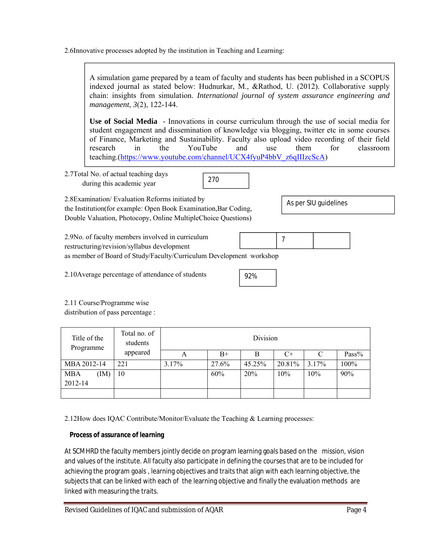2.6Innovative processes adopted by the institution in Teaching and Learning:



2.12How does IQAC Contribute/Monitor/Evaluate the Teaching & Learning processes:

*Process of assurance of learning* 

At SCMHRD the faculty members jointly decide on program learning goals based on the mission, vision and values of the institute. All faculty also participate in defining the courses that are to be included for achieving the program goals , learning objectives and traits that align with each learning objective, the subjects that can be linked with each of the learning objective and finally the evaluation methods are linked with measuring the traits.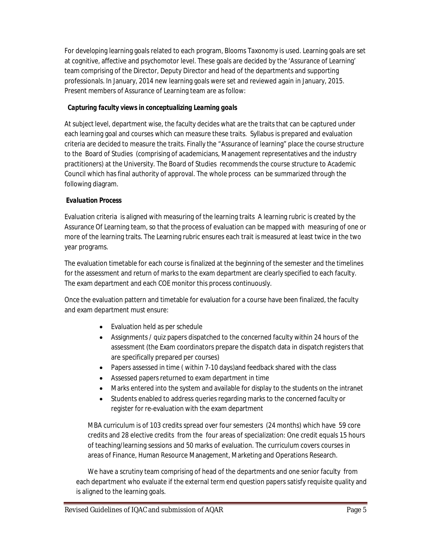For developing learning goals related to each program, Blooms Taxonomy is used. Learning goals are set at cognitive, affective and psychomotor level. These goals are decided by the 'Assurance of Learning' team comprising of the Director, Deputy Director and head of the departments and supporting professionals. In January, 2014 new learning goals were set and reviewed again in January, 2015. Present members of Assurance of Learning team are as follow:

# *Capturing faculty views in conceptualizing Learning goals*

At subject level, department wise, the faculty decides what are the traits that can be captured under each learning goal and courses which can measure these traits. Syllabus is prepared and evaluation criteria are decided to measure the traits. Finally the "Assurance of learning" place the course structure to the Board of Studies (comprising of academicians, Management representatives and the industry practitioners) at the University. The Board of Studies recommends the course structure to Academic Council which has final authority of approval. The whole process can be summarized through the following diagram.

# *Evaluation Process*

Evaluation criteria is aligned with measuring of the learning traits A learning rubric is created by the Assurance Of Learning team, so that the process of evaluation can be mapped with measuring of one or more of the learning traits. The Learning rubric ensures each trait is measured at least twice in the two year programs.

The evaluation timetable for each course is finalized at the beginning of the semester and the timelines for the assessment and return of marks to the exam department are clearly specified to each faculty. The exam department and each COE monitor this process continuously.

Once the evaluation pattern and timetable for evaluation for a course have been finalized, the faculty and exam department must ensure:

- Evaluation held as per schedule
- Assignments / quiz papers dispatched to the concerned faculty within 24 hours of the assessment (the Exam coordinators prepare the dispatch data in dispatch registers that are specifically prepared per courses)
- Papers assessed in time (within 7-10 days) and feedback shared with the class
- Assessed papers returned to exam department in time
- Marks entered into the system and available for display to the students on the intranet
- Students enabled to address queries regarding marks to the concerned faculty or register for re-evaluation with the exam department

MBA curriculum is of 103 credits spread over four semesters (24 months) which have 59 core credits and 28 elective credits from the four areas of specialization: One credit equals 15 hours of teaching/learning sessions and 50 marks of evaluation. The curriculum covers courses in areas of Finance, Human Resource Management, Marketing and Operations Research.

We have a scrutiny team comprising of head of the departments and one senior faculty from each department who evaluate if the external term end question papers satisfy requisite quality and is aligned to the learning goals.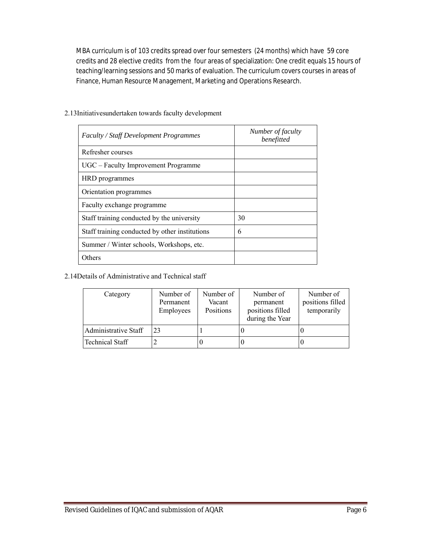MBA curriculum is of 103 credits spread over four semesters (24 months) which have 59 core credits and 28 elective credits from the four areas of specialization: One credit equals 15 hours of teaching/learning sessions and 50 marks of evaluation. The curriculum covers courses in areas of Finance, Human Resource Management, Marketing and Operations Research.

| <b>Faculty / Staff Development Programmes</b>  | Number of faculty<br>benefitted |
|------------------------------------------------|---------------------------------|
| Refresher courses                              |                                 |
| UGC – Faculty Improvement Programme            |                                 |
| HRD programmes                                 |                                 |
| Orientation programmes                         |                                 |
| Faculty exchange programme                     |                                 |
| Staff training conducted by the university     | 30                              |
| Staff training conducted by other institutions | 6                               |
| Summer / Winter schools, Workshops, etc.       |                                 |
| Others                                         |                                 |

### 2.13Initiativesundertaken towards faculty development

#### 2.14Details of Administrative and Technical staff

| Category             | Number of<br>Permanent<br>Employees | Number of<br>Vacant<br>Positions | Number of<br>permanent<br>positions filled<br>during the Year | Number of<br>positions filled<br>temporarily |
|----------------------|-------------------------------------|----------------------------------|---------------------------------------------------------------|----------------------------------------------|
| Administrative Staff | 23                                  |                                  |                                                               |                                              |
| Technical Staff      |                                     |                                  |                                                               |                                              |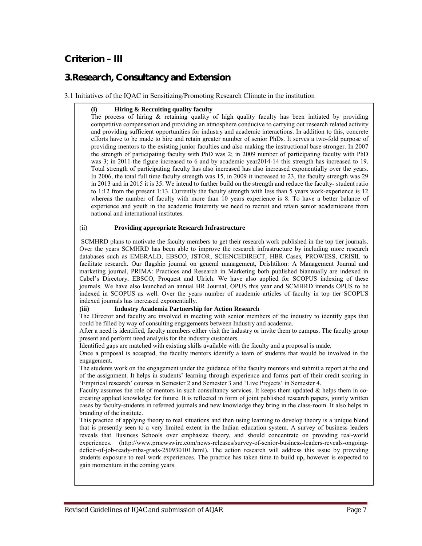# **Criterion – III**

# **3.Research, Consultancy and Extension**

#### 3.1 Initiatives of the IQAC in Sensitizing/Promoting Research Climate in the institution

#### **(i) Hiring & Recruiting quality faculty**

The process of hiring & retaining quality of high quality faculty has been initiated by providing competitive compensation and providing an atmosphere conducive to carrying out research related activity and providing sufficient opportunities for industry and academic interactions. In addition to this, concrete efforts have to be made to hire and retain greater number of senior PhDs. It serves a two-fold purpose of providing mentors to the existing junior faculties and also making the instructional base stronger. In 2007 the strength of participating faculty with PhD was 2; in 2009 number of participating faculty with PhD was 3; in 2011 the figure increased to 6 and by academic year2014-14 this strength has increased to 19. Total strength of participating faculty has also increased has also increased exponentially over the years. In 2006, the total full time faculty strength was 15, in 2009 it increased to 23, the faculty strength was 29 in 2013 and in 2015 it is 35. We intend to further build on the strength and reduce the faculty- student ratio to 1:12 from the present 1:13. Currently the faculty strength with less than 5 years work-experience is 12 whereas the number of faculty with more than 10 years experience is 8. To have a better balance of experience and youth in the academic fraternity we need to recruit and retain senior academicians from national and international institutes.

#### (ii) **Providing appropriate Research Infrastructure**

SCMHRD plans to motivate the faculty members to get their research work published in the top tier journals. Over the years SCMHRD has been able to improve the research infrastructure by including more research databases such as EMERALD, EBSCO, JSTOR, SCIENCEDIRECT, HBR Cases, PROWESS, CRISIL to facilitate research. Our flagship journal on general management, Drishtikon: A Management Journal and marketing journal, PRIMA: Practices and Research in Marketing both published biannually are indexed in Cabel's Directory, EBSCO, Proquest and Ulrich. We have also applied for SCOPUS indexing of these journals. We have also launched an annual HR Journal, OPUS this year and SCMHRD intends OPUS to be indexed in SCOPUS as well. Over the years number of academic articles of faculty in top tier SCOPUS indexed journals has increased exponentially.

#### **(iii) Industry Academia Partnership for Action Research**

The Director and faculty are involved in meeting with senior members of the industry to identify gaps that could be filled by way of consulting engagements between Industry and academia.

After a need is identified, faculty members either visit the industry or invite them to campus. The faculty group present and perform need analysis for the industry customers.

Identified gaps are matched with existing skills available with the faculty and a proposal is made.

Once a proposal is accepted, the faculty mentors identify a team of students that would be involved in the engagement.

The students work on the engagement under the guidance of the faculty mentors and submit a report at the end of the assignment. It helps in students' learning through experience and forms part of their credit scoring in 'Empirical research' courses in Semester 2 and Semester 3 and 'Live Projects' in Semester 4.

Faculty assumes the role of mentors in such consultancy services. It keeps them updated & helps them in cocreating applied knowledge for future. It is reflected in form of joint published research papers, jointly written cases by faculty-students in refereed journals and new knowledge they bring in the class-room. It also helps in branding of the institute.

This practice of applying theory to real situations and then using learning to develop theory is a unique blend that is presently seen to a very limited extent in the Indian education system. A survey of business leaders reveals that Business Schools over emphasize theory, and should concentrate on providing real-world experiences. (http://www.prnewswire.com/news-releases/survey-of-senior-business-leaders-reveals-ongoingdeficit-of-job-ready-mba-grads-250930101.html). The action research will address this issue by providing students exposure to real work experiences. The practice has taken time to build up, however is expected to gain momentum in the coming years.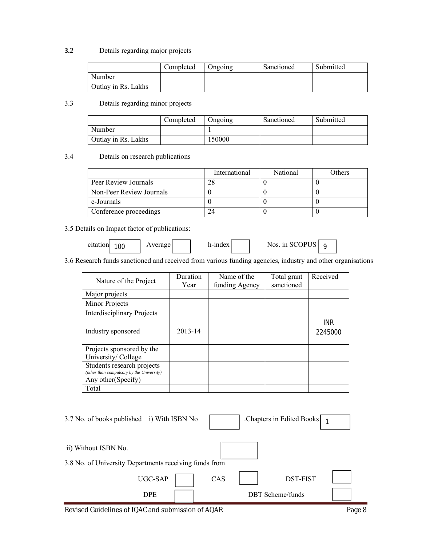### **3.2** Details regarding major projects

|                     | Completed | <b>Ongoing</b> | Sanctioned | Submitted |
|---------------------|-----------|----------------|------------|-----------|
| Number              |           |                |            |           |
| Outlay in Rs. Lakhs |           |                |            |           |

# 3.3 Details regarding minor projects

|                     | Completed | Ongoing | Sanctioned | Submitted |
|---------------------|-----------|---------|------------|-----------|
| Number              |           |         |            |           |
| Outlay in Rs. Lakhs |           | 150000  |            |           |

# 3.4 Details on research publications

|                          | International | National | Others |
|--------------------------|---------------|----------|--------|
| Peer Review Journals     |               |          |        |
| Non-Peer Review Journals |               |          |        |
| e-Journals               |               |          |        |
| Conference proceedings   |               |          |        |

# 3.5 Details on Impact factor of publications:

| citation<br>100 | verage | h-index | Nos. in SCOPUS |  |
|-----------------|--------|---------|----------------|--|
|-----------------|--------|---------|----------------|--|

# 3.6 Research funds sanctioned and received from various funding agencies, industry and other organisations

| Nature of the Project                                                   | Duration<br>Year | Name of the<br>funding Agency | Total grant<br>sanctioned | Received              |
|-------------------------------------------------------------------------|------------------|-------------------------------|---------------------------|-----------------------|
| Major projects                                                          |                  |                               |                           |                       |
| Minor Projects                                                          |                  |                               |                           |                       |
| <b>Interdisciplinary Projects</b>                                       |                  |                               |                           |                       |
| Industry sponsored                                                      | 2013-14          |                               |                           | <b>INR</b><br>2245000 |
| Projects sponsored by the<br>University/College                         |                  |                               |                           |                       |
| Students research projects<br>(other than compulsory by the University) |                  |                               |                           |                       |
| Any other (Specify)                                                     |                  |                               |                           |                       |
| Total                                                                   |                  |                               |                           |                       |

| 3.7 No. of books published i) With ISBN No                                     | Chapters in Edited Books |  |
|--------------------------------------------------------------------------------|--------------------------|--|
| ii) Without ISBN No.<br>3.8 No. of University Departments receiving funds from |                          |  |
| UGC-SAP                                                                        | DST-FIST<br>CAS          |  |
| <b>DPE</b>                                                                     | <b>DBT</b> Scheme/funds  |  |

Revised Guidelines of IQAC and submission of AQAR Page 8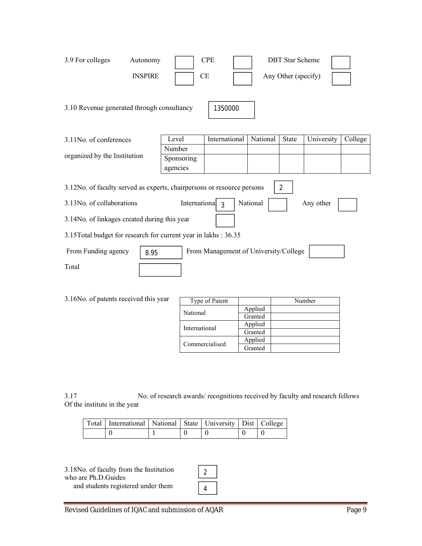| 3.9 For colleges<br>Autonomy<br><b>INSPIRE</b>                                                                                                                                                                                                                                                                                                                                      |                      | <b>CPE</b><br><b>CE</b> |          | <b>DBT</b> Star Scheme<br>Any Other (specify) |            |         |
|-------------------------------------------------------------------------------------------------------------------------------------------------------------------------------------------------------------------------------------------------------------------------------------------------------------------------------------------------------------------------------------|----------------------|-------------------------|----------|-----------------------------------------------|------------|---------|
| 3.10 Revenue generated through consultancy                                                                                                                                                                                                                                                                                                                                          |                      | 1350000                 |          |                                               |            |         |
| 3.11No. of conferences                                                                                                                                                                                                                                                                                                                                                              | Level                | International           | National | State                                         | University | College |
| organized by the Institution                                                                                                                                                                                                                                                                                                                                                        | Number<br>Sponsoring |                         |          |                                               |            |         |
|                                                                                                                                                                                                                                                                                                                                                                                     | agencies             |                         |          |                                               |            |         |
| 3.12No. of faculty served as experts, chairpersons or resource persons<br>$\overline{2}$<br>3.13No. of collaborations<br>International<br>National<br>Any other<br>$\mathcal{R}$<br>3.14No. of linkages created during this year<br>3.15Total budget for research for current year in lakhs: 36.35<br>From Funding agency<br>From Management of University/College<br>8.95<br>Total |                      |                         |          |                                               |            |         |

| 3.16No. of patents received this year | Type of Patent |
|---------------------------------------|----------------|
|                                       | National       |

|  | Type of Patent |         | Number |
|--|----------------|---------|--------|
|  | National       | Applied |        |
|  |                | Granted |        |
|  | International  | Applied |        |
|  |                | Granted |        |
|  | Commercialised | Applied |        |
|  |                | Granted |        |

3.17 No. of research awards/ recognitions received by faculty and research fellows Of the institute in the year

| Total   International   National   State   University   Dist   College |  |  |  |
|------------------------------------------------------------------------|--|--|--|
|                                                                        |  |  |  |

3.18No. of faculty from the Institution who are Ph.D.Guides and students registered under them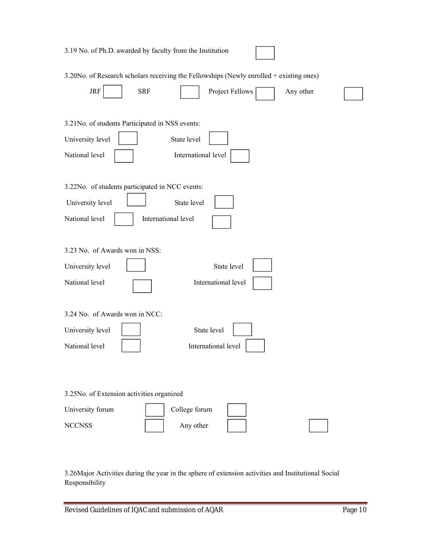| 3.19 No. of Ph.D. awarded by faculty from the Institution                               |
|-----------------------------------------------------------------------------------------|
| 3.20No. of Research scholars receiving the Fellowships (Newly enrolled + existing ones) |
| <b>JRF</b><br><b>SRF</b><br>Project Fellows<br>Any other                                |
| 3.21 No. of students Participated in NSS events:                                        |
| University level<br>State level                                                         |
| National level<br>International level                                                   |
| 3.22No. of students participated in NCC events:                                         |
| University level<br>State level                                                         |
| National level<br>International level                                                   |
| 3.23 No. of Awards won in NSS:                                                          |
| State level<br>University level                                                         |
| National level<br>International level                                                   |
|                                                                                         |
| 3.24 No. of Awards won in NCC:                                                          |
| State level<br>University level                                                         |
| National level<br>International level                                                   |
|                                                                                         |
| 3.25No. of Extension activities organized                                               |
| College forum<br>University forum                                                       |

3.26Major Activities during the year in the sphere of extension activities and Institutional Social Responsibility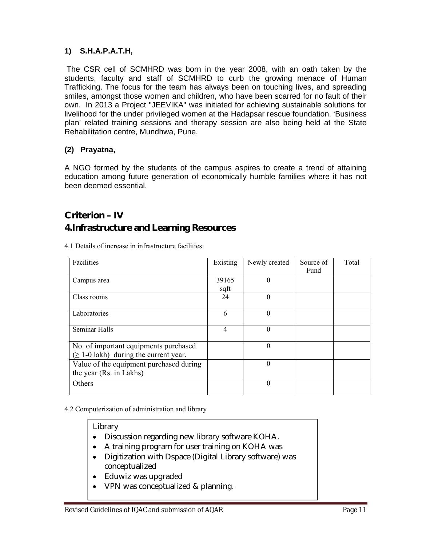# **1) S.H.A.P.A.T.H,**

The CSR cell of SCMHRD was born in the year 2008, with an oath taken by the students, faculty and staff of SCMHRD to curb the growing menace of Human Trafficking. The focus for the team has always been on touching lives, and spreading smiles, amongst those women and children, who have been scarred for no fault of their own. In 2013 a Project "JEEVIKA" was initiated for achieving sustainable solutions for livelihood for the under privileged women at the Hadapsar rescue foundation. 'Business plan' related training sessions and therapy session are also being held at the State Rehabilitation centre, Mundhwa, Pune.

# **(2) Prayatna,**

A NGO formed by the students of the campus aspires to create a trend of attaining education among future generation of economically humble families where it has not been deemed essential.

# **Criterion – IV**

# **4.Infrastructure and Learning Resources**

|  |  | 4.1 Details of increase in infrastructure facilities: |  |
|--|--|-------------------------------------------------------|--|
|  |  |                                                       |  |

| Facilities                                  | Existing       | Newly created | Source of | Total |
|---------------------------------------------|----------------|---------------|-----------|-------|
|                                             |                |               | Fund      |       |
| Campus area                                 | 39165          | $\theta$      |           |       |
|                                             | sqft           |               |           |       |
| Class rooms                                 | 24             | $\theta$      |           |       |
|                                             |                |               |           |       |
| Laboratories                                | 6              | $\Omega$      |           |       |
|                                             |                |               |           |       |
| Seminar Halls                               | $\overline{4}$ | $\Omega$      |           |       |
|                                             |                |               |           |       |
| No. of important equipments purchased       |                | $\theta$      |           |       |
| $(\geq 1$ -0 lakh) during the current year. |                |               |           |       |
| Value of the equipment purchased during     |                | $\theta$      |           |       |
| the year (Rs. in Lakhs)                     |                |               |           |       |
| Others                                      |                | $\theta$      |           |       |
|                                             |                |               |           |       |

#### 4.2 Computerization of administration and library

#### Library

- Discussion regarding new library software KOHA.
- A training program for user training on KOHA was
- Digitization with Dspace (Digital Library software) was conceptualized
- Eduwiz was upgraded
- VPN was conceptualized & planning.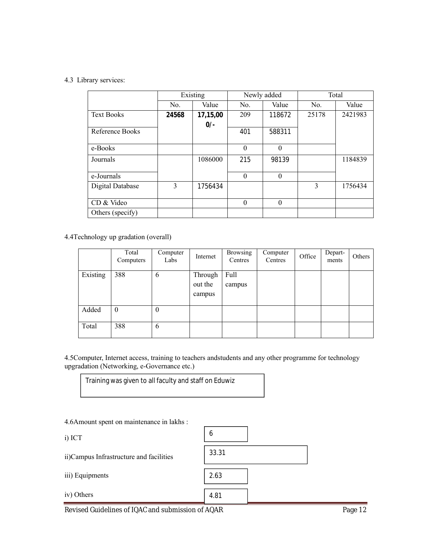#### 4.3 Library services:

|                   | Existing |          |          | Newly added | Total |         |
|-------------------|----------|----------|----------|-------------|-------|---------|
|                   | No.      | Value    | No.      | Value       | No.   | Value   |
| <b>Text Books</b> | 24568    | 17,15,00 | 209      | 118672      | 25178 | 2421983 |
|                   |          | $0/-$    |          |             |       |         |
| Reference Books   |          |          | 401      | 588311      |       |         |
| e-Books           |          |          | $\Omega$ | $\theta$    |       |         |
| Journals          |          | 1086000  | 215      | 98139       |       | 1184839 |
| e-Journals        |          |          | $\Omega$ | $\theta$    |       |         |
| Digital Database  | 3        | 1756434  |          |             | 3     | 1756434 |
| CD & Video        |          |          | $\theta$ | $\theta$    |       |         |
| Others (specify)  |          |          |          |             |       |         |

4.4Technology up gradation (overall)

|          | Total<br>Computers | Computer<br>Labs | Internet                     | <b>Browsing</b><br>Centres | Computer<br>Centres | Office | Depart-<br>ments | Others |
|----------|--------------------|------------------|------------------------------|----------------------------|---------------------|--------|------------------|--------|
| Existing | 388                | 6                | Through<br>out the<br>campus | Full<br>campus             |                     |        |                  |        |
| Added    | $\boldsymbol{0}$   | $\boldsymbol{0}$ |                              |                            |                     |        |                  |        |
| Total    | 388                | 6                |                              |                            |                     |        |                  |        |

4.5Computer, Internet access, training to teachers andstudents and any other programme for technology upgradation (Networking, e-Governance etc.)

 $\overline{\phantom{a}}$ 

┑

Training was given to all faculty and staff on Eduwiz

4.6Amount spent on maintenance in lakhs :

| ۰, |  |
|----|--|
|----|--|

 $iv)$ 

| i) ICT                                  | O     |  |
|-----------------------------------------|-------|--|
| ii)Campus Infrastructure and facilities | 33.31 |  |
| iii) Equipments                         | 2.63  |  |
| iv) Others                              | 4.81  |  |

Revised Guidelines of IQAC and submission of AQAR Page 12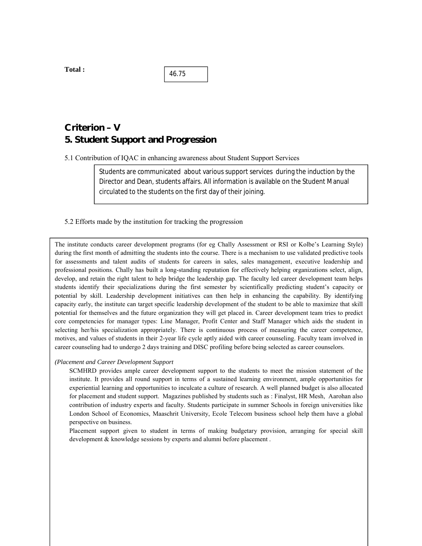**Total :** 

46.75

# **Criterion – V 5. Student Support and Progression**

5.1 Contribution of IQAC in enhancing awareness about Student Support Services

Students are communicated about various support services during the induction by the Director and Dean, students affairs. All information is available on the Student Manual circulated to the students on the first day of their joining.

#### 5.2 Efforts made by the institution for tracking the progression

The institute conducts career development programs (for eg Chally Assessment or RSI or Kolbe's Learning Style) during the first month of admitting the students into the course. There is a mechanism to use validated predictive tools for assessments and talent audits of students for careers in sales, sales management, executive leadership and professional positions. Chally has built a long-standing reputation for effectively helping organizations select, align, develop, and retain the right talent to help bridge the leadership gap. The faculty led career development team helps students identify their specializations during the first semester by scientifically predicting student's capacity or potential by skill. Leadership development initiatives can then help in enhancing the capability. By identifying capacity early, the institute can target specific leadership development of the student to be able to maximize that skill potential for themselves and the future organization they will get placed in. Career development team tries to predict core competencies for manager types: Line Manager, Profit Center and Staff Manager which aids the student in selecting her/his specialization appropriately. There is continuous process of measuring the career competence, motives, and values of students in their 2-year life cycle aptly aided with career counseling. Faculty team involved in career counseling had to undergo 2 days training and DISC profiling before being selected as career counselors.

#### *(Placement and Career Development Support*

SCMHRD provides ample career development support to the students to meet the mission statement of the institute. It provides all round support in terms of a sustained learning environment, ample opportunities for experiential learning and opportunities to inculcate a culture of research. A well planned budget is also allocated for placement and student support. Magazines published by students such as : Finalyst, HR Mesh, Aarohan also contribution of industry experts and faculty. Students participate in summer Schools in foreign universities like London School of Economics, Maaschrit University, Ecole Telecom business school help them have a global perspective on business.

Placement support given to student in terms of making budgetary provision, arranging for special skill development & knowledge sessions by experts and alumni before placement .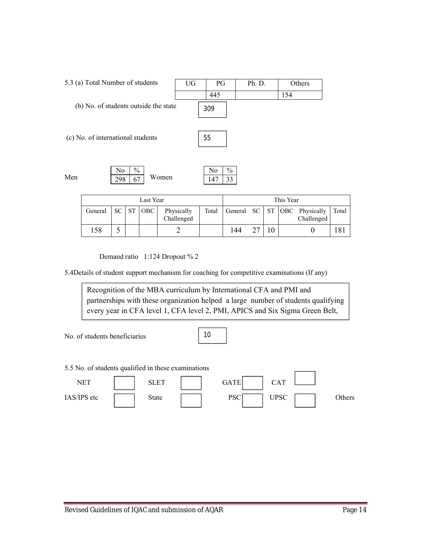|                                       | 5.3 (a) Total Number of students  |           |                     |            |            | UG  | PG        |                     | Ph. D.    |           |            | Others     |
|---------------------------------------|-----------------------------------|-----------|---------------------|------------|------------|-----|-----------|---------------------|-----------|-----------|------------|------------|
|                                       |                                   |           |                     |            |            |     | 445       |                     |           |           | 154        |            |
| (b) No. of students outside the state |                                   |           |                     |            |            | 309 |           |                     |           |           |            |            |
|                                       | (c) No. of international students |           |                     |            |            |     | 55        |                     |           |           |            |            |
| Men                                   |                                   | No<br>298 | $\frac{0}{0}$<br>67 |            | Women      |     | No<br>147 | $\frac{0}{0}$<br>33 |           |           |            |            |
|                                       | Last Year                         |           |                     |            |            |     |           | This Year           |           |           |            |            |
|                                       | General                           | <b>SC</b> | <b>ST</b>           | <b>OBC</b> | Physically |     | Total     | General             | <b>SC</b> | <b>ST</b> | <b>OBC</b> | Physically |

Demand ratio 1:124 Dropout % 2

5.4Details of student support mechanism for coaching for competitive examinations (If any)

Challenged

Recognition of the MBA curriculum by International CFA and PMI and partnerships with these organization helped a large number of students qualifying every year in CFA level 1, CFA level 2, PMI, APICS and Six Sigma Green Belt,

158 5 2 144 27 10 0 181

No. of students beneficiaries

Black Belt etc.

10

5.5 No. of students qualified in these examinations



Challenged

Total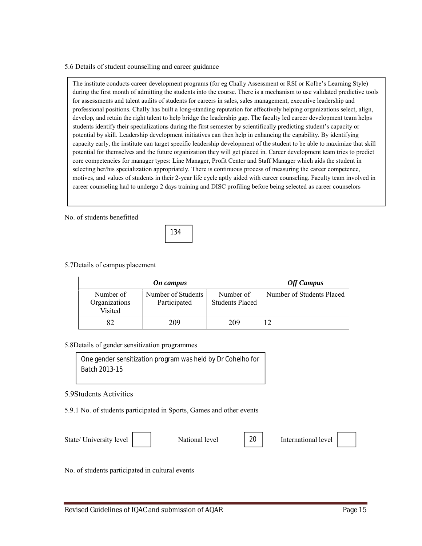#### 5.6 Details of student counselling and career guidance

The institute conducts career development programs (for eg Chally Assessment or RSI or Kolbe's Learning Style) during the first month of admitting the students into the course. There is a mechanism to use validated predictive tools for assessments and talent audits of students for careers in sales, sales management, executive leadership and professional positions. Chally has built a long-standing reputation for effectively helping organizations select, align, develop, and retain the right talent to help bridge the leadership gap. The faculty led career development team helps students identify their specializations during the first semester by scientifically predicting student's capacity or potential by skill. Leadership development initiatives can then help in enhancing the capability. By identifying capacity early, the institute can target specific leadership development of the student to be able to maximize that skill potential for themselves and the future organization they will get placed in. Career development team tries to predict core competencies for manager types: Line Manager, Profit Center and Staff Manager which aids the student in selecting her/his specialization appropriately. There is continuous process of measuring the career competence, motives, and values of students in their 2-year life cycle aptly aided with career counseling. Faculty team involved in career counseling had to undergo 2 days training and DISC profiling before being selected as career counselors

No. of students benefitted



#### 5.7Details of campus placement

|                                       | <b>Off Campus</b>                  |                                     |                           |
|---------------------------------------|------------------------------------|-------------------------------------|---------------------------|
| Number of<br>Organizations<br>Visited | Number of Students<br>Participated | Number of<br><b>Students Placed</b> | Number of Students Placed |
|                                       | 209                                | 209                                 |                           |

#### 5.8Details of gender sensitization programmes

One gender sensitization program was held by Dr Cohelho for Batch 2013-15

#### 5.9Students Activities

5.9.1 No. of students participated in Sports, Games and other events

State/ University level | | National level | 20 | International level

20

No. of students participated in cultural events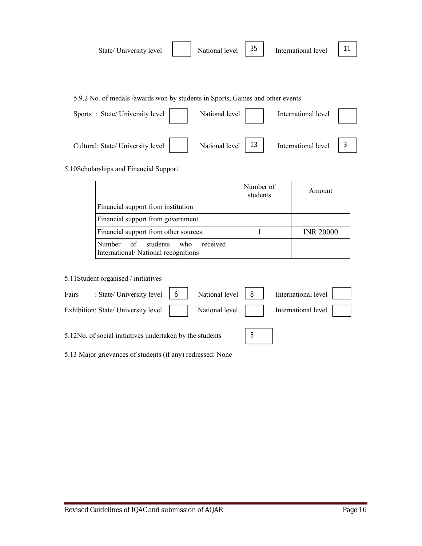| State/University level | National level $\begin{vmatrix} 35 \end{vmatrix}$ | International level |  |
|------------------------|---------------------------------------------------|---------------------|--|
|                        |                                                   |                     |  |
|                        |                                                   |                     |  |

5.9.2 No. of medals /awards won by students in Sports, Games and other events

| Sports: State/University level    | National level | International level |  |
|-----------------------------------|----------------|---------------------|--|
| Cultural: State/ University level | National level | International level |  |

5.10Scholarships and Financial Support

|                                                                        | Number of<br>students | Amount           |
|------------------------------------------------------------------------|-----------------------|------------------|
| Financial support from institution                                     |                       |                  |
| Financial support from government                                      |                       |                  |
| Financial support from other sources                                   |                       | <b>INR 20000</b> |
| Number of students who received<br>International/National recognitions |                       |                  |

5.11Student organised / initiatives

| Fairs | : State/University level $\begin{vmatrix} 6 \end{vmatrix}$ National level $\begin{vmatrix} 8 \end{vmatrix}$ |  | International level |  |
|-------|-------------------------------------------------------------------------------------------------------------|--|---------------------|--|
|       | Exhibition: State/ University level     National level                                                      |  | International level |  |
|       | 5.12No. of social initiatives undertaken by the students                                                    |  |                     |  |

5.13 Major grievances of students (if any) redressed: None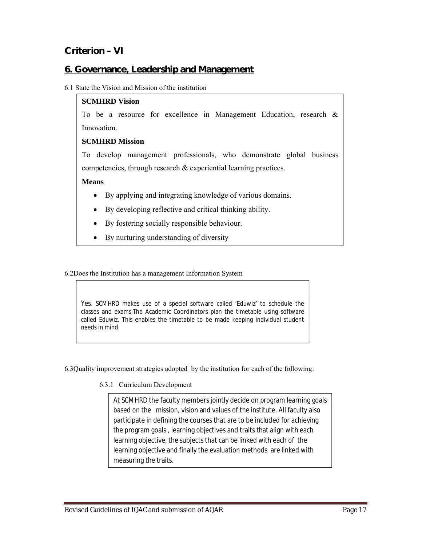# **Criterion – VI**

# **6. Governance, Leadership and Management**

#### 6.1 State the Vision and Mission of the institution

### **SCMHRD Vision**

To be a resource for excellence in Management Education, research & **Innovation** 

### **SCMHRD Mission**

To develop management professionals, who demonstrate global business competencies, through research & experiential learning practices.

#### **Means**

- By applying and integrating knowledge of various domains.
- By developing reflective and critical thinking ability.
- By fostering socially responsible behaviour.
- By nurturing understanding of diversity

6.2Does the Institution has a management Information System

Yes. SCMHRD makes use of a special software called 'Eduwiz' to schedule the classes and exams.The Academic Coordinators plan the timetable using software called Eduwiz. This enables the timetable to be made keeping individual student needs in mind.

6.3Quality improvement strategies adopted by the institution for each of the following:

6.3.1 Curriculum Development

At SCMHRD the faculty members jointly decide on program learning goals based on the mission, vision and values of the institute. All faculty also participate in defining the courses that are to be included for achieving the program goals , learning objectives and traits that align with each learning objective, the subjects that can be linked with each of the learning objective and finally the evaluation methods are linked with measuring the traits.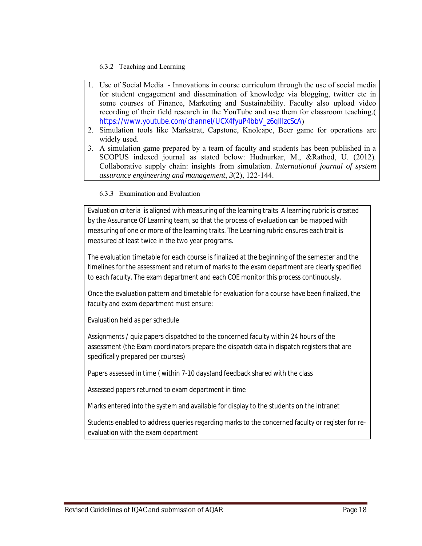### 6.3.2 Teaching and Learning

- 1. Use of Social Media Innovations in course curriculum through the use of social media for student engagement and dissemination of knowledge via blogging, twitter etc in some courses of Finance, Marketing and Sustainability. Faculty also upload video recording of their field research in the YouTube and use them for classroom teaching.( https://www.youtube.com/channel/UCX4fyuP4bbV\_z6qIIIzcScA)
- 2. Simulation tools like Markstrat, Capstone, Knolcape, Beer game for operations are widely used.
- 3. A simulation game prepared by a team of faculty and students has been published in a SCOPUS indexed journal as stated below: Hudnurkar, M., &Rathod, U. (2012). Collaborative supply chain: insights from simulation. *International journal of system assurance engineering and management*, *3*(2), 122-144.

#### 6.3.3 Examination and Evaluation

Evaluation criteria is aligned with measuring of the learning traits A learning rubric is created by the Assurance Of Learning team, so that the process of evaluation can be mapped with measuring of one or more of the learning traits. The Learning rubric ensures each trait is measured at least twice in the two year programs.

The evaluation timetable for each course is finalized at the beginning of the semester and the timelines for the assessment and return of marks to the exam department are clearly specified to each faculty. The exam department and each COE monitor this process continuously.

Once the evaluation pattern and timetable for evaluation for a course have been finalized, the faculty and exam department must ensure:

Evaluation held as per schedule

Assignments / quiz papers dispatched to the concerned faculty within 24 hours of the assessment (the Exam coordinators prepare the dispatch data in dispatch registers that are specifically prepared per courses)

Papers assessed in time ( within 7-10 days)and feedback shared with the class

Assessed papers returned to exam department in time

Marks entered into the system and available for display to the students on the intranet

Students enabled to address queries regarding marks to the concerned faculty or register for reevaluation with the exam department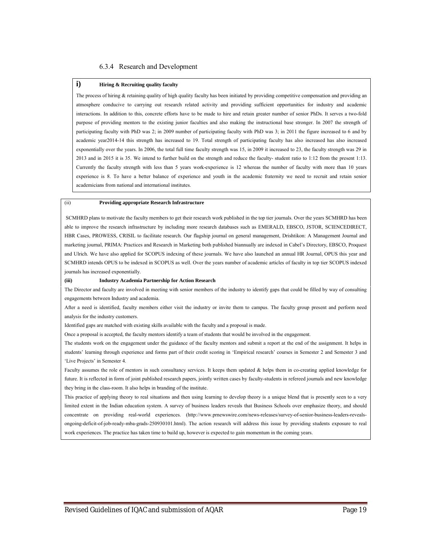#### 6.3.4 Research and Development

#### **i) Hiring & Recruiting quality faculty**

The process of hiring  $\&$  retaining quality of high quality faculty has been initiated by providing competitive compensation and providing an atmosphere conducive to carrying out research related activity and providing sufficient opportunities for industry and academic interactions. In addition to this, concrete efforts have to be made to hire and retain greater number of senior PhDs. It serves a two-fold purpose of providing mentors to the existing junior faculties and also making the instructional base stronger. In 2007 the strength of participating faculty with PhD was 2; in 2009 number of participating faculty with PhD was 3; in 2011 the figure increased to 6 and by academic year2014-14 this strength has increased to 19. Total strength of participating faculty has also increased has also increased exponentially over the years. In 2006, the total full time faculty strength was 15, in 2009 it increased to 23, the faculty strength was 29 in 2013 and in 2015 it is 35. We intend to further build on the strength and reduce the faculty- student ratio to 1:12 from the present 1:13. Currently the faculty strength with less than 5 years work-experience is 12 whereas the number of faculty with more than 10 years experience is 8. To have a better balance of experience and youth in the academic fraternity we need to recruit and retain senior academicians from national and international institutes.

#### (ii) **Providing appropriate Research Infrastructure**

SCMHRD plans to motivate the faculty members to get their research work published in the top tier journals. Over the years SCMHRD has been able to improve the research infrastructure by including more research databases such as EMERALD, EBSCO, JSTOR, SCIENCEDIRECT, HBR Cases, PROWESS, CRISIL to facilitate research. Our flagship journal on general management, Drishtikon: A Management Journal and marketing journal, PRIMA: Practices and Research in Marketing both published biannually are indexed in Cabel's Directory, EBSCO, Proquest and Ulrich. We have also applied for SCOPUS indexing of these journals. We have also launched an annual HR Journal, OPUS this year and SCMHRD intends OPUS to be indexed in SCOPUS as well. Over the years number of academic articles of faculty in top tier SCOPUS indexed journals has increased exponentially.

#### **(iii) Industry Academia Partnership for Action Research**

The Director and faculty are involved in meeting with senior members of the industry to identify gaps that could be filled by way of consulting engagements between Industry and academia.

After a need is identified, faculty members either visit the industry or invite them to campus. The faculty group present and perform need analysis for the industry customers.

Identified gaps are matched with existing skills available with the faculty and a proposal is made.

Once a proposal is accepted, the faculty mentors identify a team of students that would be involved in the engagement.

The students work on the engagement under the guidance of the faculty mentors and submit a report at the end of the assignment. It helps in students' learning through experience and forms part of their credit scoring in 'Empirical research' courses in Semester 2 and Semester 3 and 'Live Projects' in Semester 4.

Faculty assumes the role of mentors in such consultancy services. It keeps them updated & helps them in co-creating applied knowledge for future. It is reflected in form of joint published research papers, jointly written cases by faculty-students in refereed journals and new knowledge they bring in the class-room. It also helps in branding of the institute.

This practice of applying theory to real situations and then using learning to develop theory is a unique blend that is presently seen to a very limited extent in the Indian education system. A survey of business leaders reveals that Business Schools over emphasize theory, and should concentrate on providing real-world experiences. (http://www.prnewswire.com/news-releases/survey-of-senior-business-leaders-revealsongoing-deficit-of-job-ready-mba-grads-250930101.html). The action research will address this issue by providing students exposure to real work experiences. The practice has taken time to build up, however is expected to gain momentum in the coming years.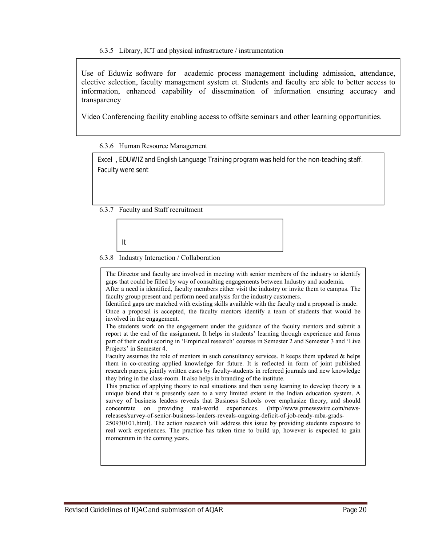Use of Eduwiz software for academic process management including admission, attendance, elective selection, faculty management system et. Students and faculty are able to better access to information, enhanced capability of dissemination of information ensuring accuracy and transparency

Video Conferencing facility enabling access to offsite seminars and other learning opportunities.

#### 6.3.6 Human Resource Management

Excel , EDUWIZ and English Language Training program was held for the non-teaching staff. Faculty were sent

6.3.7 Faculty and Staff recruitment

It

#### 6.3.8 Industry Interaction / Collaboration

The Director and faculty are involved in meeting with senior members of the industry to identify gaps that could be filled by way of consulting engagements between Industry and academia. After a need is identified, faculty members either visit the industry or invite them to campus. The faculty group present and perform need analysis for the industry customers. Identified gaps are matched with existing skills available with the faculty and a proposal is made. Once a proposal is accepted, the faculty mentors identify a team of students that would be involved in the engagement. The students work on the engagement under the guidance of the faculty mentors and submit a report at the end of the assignment. It helps in students' learning through experience and forms part of their credit scoring in 'Empirical research' courses in Semester 2 and Semester 3 and 'Live Projects' in Semester 4. Faculty assumes the role of mentors in such consultancy services. It keeps them updated & helps them in co-creating applied knowledge for future. It is reflected in form of joint published research papers, jointly written cases by faculty-students in refereed journals and new knowledge they bring in the class-room. It also helps in branding of the institute. This practice of applying theory to real situations and then using learning to develop theory is a unique blend that is presently seen to a very limited extent in the Indian education system. A survey of business leaders reveals that Business Schools over emphasize theory, and should concentrate on providing real-world experiences. (http://www.prnewswire.com/newsreleases/survey-of-senior-business-leaders-reveals-ongoing-deficit-of-job-ready-mba-grads-250930101.html). The action research will address this issue by providing students exposure to real work experiences. The practice has taken time to build up, however is expected to gain momentum in the coming years.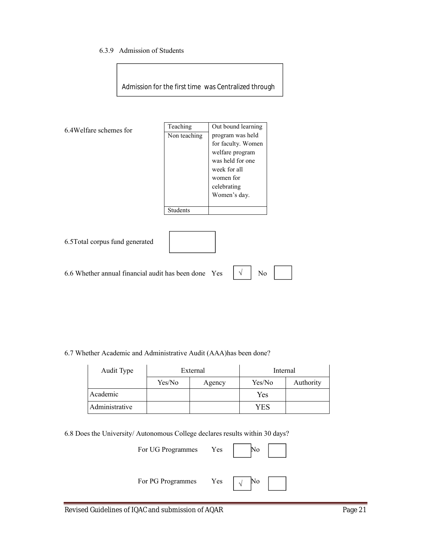#### 6.3.9 Admission of Students

SIU

Admission for the first time was Centralized through

| 6.4 Welfare schemes for                          | Teaching        | Out bound learning      |
|--------------------------------------------------|-----------------|-------------------------|
|                                                  | Non teaching    | program was held        |
|                                                  |                 | for faculty. Women      |
|                                                  |                 | welfare program         |
|                                                  |                 | was held for one        |
|                                                  |                 | week for all            |
|                                                  |                 | women for               |
|                                                  |                 | celebrating             |
|                                                  |                 | Women's day.            |
|                                                  | <b>Students</b> |                         |
|                                                  |                 |                         |
|                                                  |                 |                         |
| 6.5 Total corpus fund generated                  |                 |                         |
|                                                  |                 |                         |
|                                                  |                 |                         |
| 6.6 Whether annual financial audit has been done |                 | No<br>$\sqrt{ }$<br>Yes |

6.7 Whether Academic and Administrative Audit (AAA)has been done?

| Audit Type     |        | External | Internal |           |
|----------------|--------|----------|----------|-----------|
|                | Yes/No | Agency   | Yes/No   | Authority |
| Academic       |        |          | Yes      |           |
| Administrative |        |          | YES      |           |

6.8 Does the University/ Autonomous College declares results within 30 days?

| For UG Programmes Yes | <b>INO</b> |
|-----------------------|------------|
| For PG Programmes Yes | $\sqrt{ }$ |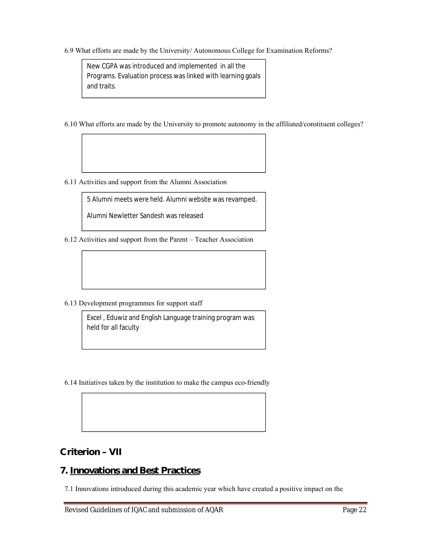6.9 What efforts are made by the University/ Autonomous College for Examination Reforms?

New CGPA was introduced and implemented in all the Programs. Evaluation process was linked with learning goals and traits.

- 6.10 What efforts are made by the University to promote autonomy in the affiliated/constituent colleges?
- 6.11 Activities and support from the Alumni Association

5 Alumni meets were held. Alumni website was revamped.

Alumni Newletter Sandesh was released

6.12 Activities and support from the Parent – Teacher Association

6.13 Development programmes for support staff

Excel , Eduwiz and English Language training program was held for all faculty

6.14 Initiatives taken by the institution to make the campus eco-friendly

**Criterion – VII**

# **7. Innovations and Best Practices**

7.1 Innovations introduced during this academic year which have created a positive impact on the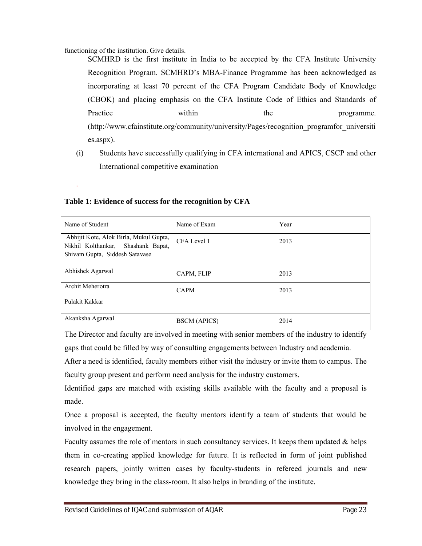functioning of the institution. Give details.

.

SCMHRD is the first institute in India to be accepted by the CFA Institute University Recognition Program. SCMHRD's MBA-Finance Programme has been acknowledged as incorporating at least 70 percent of the CFA Program Candidate Body of Knowledge (CBOK) and placing emphasis on the CFA Institute Code of Ethics and Standards of Practice within the programme. (http://www.cfainstitute.org/community/university/Pages/recognition\_programfor\_universiti es.aspx).

(i) Students have successfully qualifying in CFA international and APICS, CSCP and other International competitive examination

| Name of Student                                                                                                | Name of Exam        | Year |
|----------------------------------------------------------------------------------------------------------------|---------------------|------|
| Abhijit Kote, Alok Birla, Mukul Gupta,<br>Nikhil Kolthankar, Shashank Bapat,<br>Shivam Gupta, Siddesh Satavase | CFA Level 1         | 2013 |
| Abhishek Agarwal                                                                                               | CAPM, FLIP          | 2013 |
| Archit Meherotra                                                                                               | <b>CAPM</b>         | 2013 |
| Pulakit Kakkar                                                                                                 |                     |      |
| Akanksha Agarwal                                                                                               | <b>BSCM</b> (APICS) | 2014 |

#### **Table 1: Evidence of success for the recognition by CFA**

The Director and faculty are involved in meeting with senior members of the industry to identify gaps that could be filled by way of consulting engagements between Industry and academia.

After a need is identified, faculty members either visit the industry or invite them to campus. The faculty group present and perform need analysis for the industry customers.

Identified gaps are matched with existing skills available with the faculty and a proposal is made.

Once a proposal is accepted, the faculty mentors identify a team of students that would be involved in the engagement.

Faculty assumes the role of mentors in such consultancy services. It keeps them updated  $\&$  helps them in co-creating applied knowledge for future. It is reflected in form of joint published research papers, jointly written cases by faculty-students in refereed journals and new knowledge they bring in the class-room. It also helps in branding of the institute.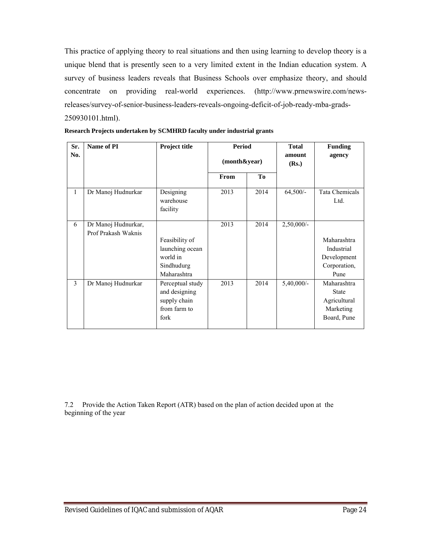This practice of applying theory to real situations and then using learning to develop theory is a unique blend that is presently seen to a very limited extent in the Indian education system. A survey of business leaders reveals that Business Schools over emphasize theory, and should concentrate on providing real-world experiences. (http://www.prnewswire.com/newsreleases/survey-of-senior-business-leaders-reveals-ongoing-deficit-of-job-ready-mba-grads-250930101.html).

| Sr.<br>No.   | Name of PI                                 | <b>Project title</b>                                                       | <b>Period</b><br>(month&year) |                | <b>Total</b><br>amount<br>(Rs.) | <b>Funding</b><br>agency                                                |
|--------------|--------------------------------------------|----------------------------------------------------------------------------|-------------------------------|----------------|---------------------------------|-------------------------------------------------------------------------|
|              |                                            |                                                                            | From                          | T <sub>0</sub> |                                 |                                                                         |
| $\mathbf{1}$ | Dr Manoj Hudnurkar                         | Designing<br>warehouse<br>facility                                         | 2013                          | 2014           | $64,500/-$                      | Tata Chemicals<br>Ltd.                                                  |
| 6            | Dr Manoj Hudnurkar,<br>Prof Prakash Waknis | Feasibility of<br>launching ocean<br>world in<br>Sindhudurg<br>Maharashtra | 2013                          | 2014           | $2,50,000/-$                    | Maharashtra<br>Industrial<br>Development<br>Corporation,<br>Pune        |
| 3            | Dr Manoj Hudnurkar                         | Perceptual study<br>and designing<br>supply chain<br>from farm to<br>fork  | 2013                          | 2014           | $5,40,000/-$                    | Maharashtra<br><b>State</b><br>Agricultural<br>Marketing<br>Board, Pune |

|  | Research Projects undertaken by SCMHRD faculty under industrial grants |  |  |  |
|--|------------------------------------------------------------------------|--|--|--|
|  |                                                                        |  |  |  |

7.2 Provide the Action Taken Report (ATR) based on the plan of action decided upon at the beginning of the year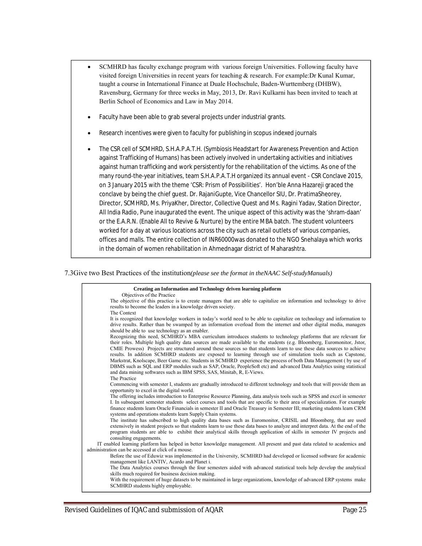- SCMHRD has faculty exchange program with various foreign Universities. Following faculty have visited foreign Universities in recent years for teaching & research. For example:Dr Kunal Kumar, taught a course in International Finance at Duale Hochschule, Baden-Wurttemberg (DHBW), Ravensburg, Germany for three weeks in May, 2013, Dr. Ravi Kulkarni has been invited to teach at Berlin School of Economics and Law in May 2014.
- Faculty have been able to grab several projects under industrial grants.
- Research incentives were given to faculty for publishing in scopus indexed journals
- The CSR cell of SCMHRD, S.H.A.P.A.T.H. (Symbiosis Headstart for Awareness Prevention and Action against Trafficking of Humans) has been actively involved in undertaking activities and initiatives against human trafficking and work persistently for the rehabilitation of the victims. As one of the many round-the-year initiatives, team S.H.A.P.A.T.H organized its annual event - CSR Conclave 2015, on 3 January 2015 with the theme 'CSR: Prism of Possibilities'. Hon'ble Anna Hazareji graced the conclave by being the chief guest. Dr. RajaniGupte, Vice Chancellor SIU, Dr. PratimaSheorey, Director, SCMHRD, Ms. PriyaKher, Director, Collective Quest and Ms. Ragini Yadav, Station Director, All India Radio, Pune inaugurated the event. The unique aspect of this activity was the 'shram-daan' or the E.A.R.N. (Enable All to Revive & Nurture) by the entire MBA batch. The student volunteers worked for a day at various locations across the city such as retail outlets of various companies, offices and malls. The entire collection of INR60000was donated to the NGO Snehalaya which works in the domain of women rehabilitation in Ahmednagar district of Maharashtra.

#### 7.3Give two Best Practices of the institution*(please see the format in theNAAC Self-studyManuals)*

| Creating an Information and Technology driven learning platform                                                                                                                                                                                                                                                                                                                                                                                                                                                                                                                                                                                                                                                                                                                                                              |
|------------------------------------------------------------------------------------------------------------------------------------------------------------------------------------------------------------------------------------------------------------------------------------------------------------------------------------------------------------------------------------------------------------------------------------------------------------------------------------------------------------------------------------------------------------------------------------------------------------------------------------------------------------------------------------------------------------------------------------------------------------------------------------------------------------------------------|
| Objectives of the Practice<br>The objective of this practice is to create managers that are able to capitalize on information and technology to drive<br>results to become the leaders in a knowledge driven society.<br>The Context                                                                                                                                                                                                                                                                                                                                                                                                                                                                                                                                                                                         |
| It is recognized that knowledge workers in today's world need to be able to capitalize on technology and information to<br>drive results. Rather than be swamped by an information overload from the internet and other digital media, managers<br>should be able to use technology as an enabler.                                                                                                                                                                                                                                                                                                                                                                                                                                                                                                                           |
| Recognizing this need, SCMHRD's MBA curriculum introduces students to technology platforms that are relevant for<br>their roles. Multiple high quality data sources are made available to the students (e.g. Bloomberg, Euromonitor, Jstor,<br>CMIE Prowess) Projects are structured around these sources so that students learn to use these data sources to achieve<br>results. In addition SCMHRD students are exposed to learning through use of simulation tools such as Capstone,<br>Markstrat, Knolscape, Beer Game etc. Students in SCMHRD experience the process of both Data Management (by use of<br>DBMS such as SQL and ERP modules such as SAP, Oracle, PeopleSoft etc) and advanced Data Analytics using statistical<br>and data mining softwares such as IBM SPSS, SAS, Minitab, R, E-Views.<br>The Practice |
| Commencing with semester I, students are gradually introduced to different technology and tools that will provide them an<br>opportunity to excel in the digital world.                                                                                                                                                                                                                                                                                                                                                                                                                                                                                                                                                                                                                                                      |
| The offering includes introduction to Enterprise Resource Planning, data analysis tools such as SPSS and excel in semester<br>I. In subsequent semester students select courses and tools that are specific to their area of specialization. For example<br>finance students learn Oracle Financials in semester II and Oracle Treasury in Semester III; marketing students learn CRM<br>systems and operations students learn Supply Chain systems.                                                                                                                                                                                                                                                                                                                                                                         |
| The institute has subscribed to high quality data bases such as Euromonitor, CRISIL and Bloomberg, that are used<br>extensively in student projects so that students learn to use these data bases to analyze and interpret data. At the end of the<br>program students are able to exhibit their analytical skills through application of skills in semester IV projects and<br>consulting engagements.                                                                                                                                                                                                                                                                                                                                                                                                                     |
| IT enabled learning platform has helped in better knowledge management. All present and past data related to academics and<br>administration can be accessed at click of a mouse.                                                                                                                                                                                                                                                                                                                                                                                                                                                                                                                                                                                                                                            |
| Before the use of Eduwiz was implemented in the University, SCMHRD had developed or licensed software for academic<br>management like LANTIV, Acardo and Planet i.                                                                                                                                                                                                                                                                                                                                                                                                                                                                                                                                                                                                                                                           |
| The Data Analytics courses through the four semesters aided with advanced statistical tools help develop the analytical<br>skills much required for business decision making.                                                                                                                                                                                                                                                                                                                                                                                                                                                                                                                                                                                                                                                |
| With the requirement of huge datasets to be maintained in large organizations, knowledge of advanced ERP systems make<br>SCMHRD students highly employable.                                                                                                                                                                                                                                                                                                                                                                                                                                                                                                                                                                                                                                                                  |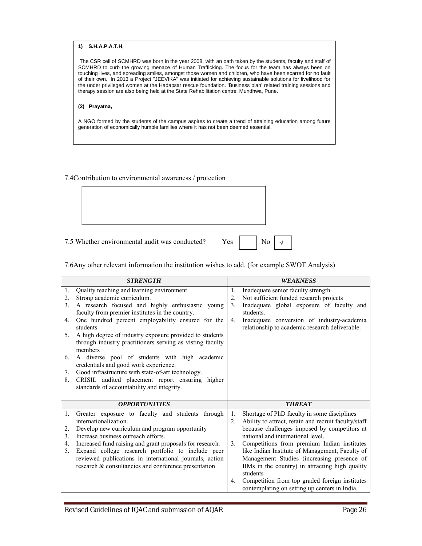#### **1) S.H.A.P.A.T.H,**

The CSR cell of SCMHRD was born in the year 2008, with an oath taken by the students, faculty and staff of SCMHRD to curb the growing menace of Human Trafficking. The focus for the team has always been on touching lives, and spreading smiles, amongst those women and children, who have been scarred for no fault of their own. In 2013 a Project "JEEVIKA" was initiated for achieving sustainable solutions for livelihood for the under privileged women at the Hadapsar rescue foundation. 'Business plan' related training sessions and therapy session are also being held at the State Rehabilitation centre, Mundhwa, Pune.

#### **(2) Prayatna,**

A NGO formed by the students of the campus aspires to create a trend of attaining education among future generation of economically humble families where it has not been deemed essential.

#### 7.4Contribution to environmental awareness / protection

7.5 Whether environmental audit was conducted? Yes

|  |  | Nο |  |
|--|--|----|--|
|--|--|----|--|

 $\sqrt{}$ 

#### 7.6Any other relevant information the institution wishes to add. (for example SWOT Analysis)

|    | <b>STRENGTH</b>                                                                                                      |    | <b>WEAKNESS</b>                                                                                 |
|----|----------------------------------------------------------------------------------------------------------------------|----|-------------------------------------------------------------------------------------------------|
| 1. | Quality teaching and learning environment                                                                            | 1. | Inadequate senior faculty strength.                                                             |
| 2. | Strong academic curriculum.                                                                                          | 2. | Not sufficient funded research projects                                                         |
| 3. | A research focused and highly enthusiastic young                                                                     | 3. | Inadequate global exposure of faculty and                                                       |
|    | faculty from premier institutes in the country.                                                                      |    | students.                                                                                       |
| 4. | One hundred percent employability ensured for the<br>students                                                        | 4. | Inadequate conversion of industry-academia<br>relationship to academic research deliverable.    |
| 5. | A high degree of industry exposure provided to students<br>through industry practitioners serving as visting faculty |    |                                                                                                 |
|    | members                                                                                                              |    |                                                                                                 |
| 6. | A diverse pool of students with high academic<br>credentials and good work experience.                               |    |                                                                                                 |
| 7. | Good infrastructure with state-of-art technology.                                                                    |    |                                                                                                 |
| 8. | CRISIL audited placement report ensuring higher                                                                      |    |                                                                                                 |
|    | standards of accountability and integrity.                                                                           |    |                                                                                                 |
|    |                                                                                                                      |    |                                                                                                 |
|    | <b>OPPORTUNITIES</b>                                                                                                 |    | <b>THREAT</b>                                                                                   |
| 1. | Greater exposure to faculty and students through                                                                     | 1. | Shortage of PhD faculty in some disciplines                                                     |
|    | internationalization.                                                                                                | 2. | Ability to attract, retain and recruit faculty/staff                                            |
| 2. | Develop new curriculum and program opportunity                                                                       |    | because challenges imposed by competitors at                                                    |
| 3. | Increase business outreach efforts.                                                                                  |    | national and international level.                                                               |
| 4. | Increased fund raising and grant proposals for research.                                                             | 3. | Competitions from premium Indian institutes                                                     |
| 5. | Expand college research portfolio to include peer                                                                    |    | like Indian Institute of Management, Faculty of                                                 |
|    | reviewed publications in international journals, action                                                              |    | Management Studies (increasing presence of                                                      |
|    | research & consultancies and conference presentation                                                                 |    | IIMs in the country) in attracting high quality<br>students                                     |
|    |                                                                                                                      | 4. | Competition from top graded foreign institutes<br>contemplating on setting up centers in India. |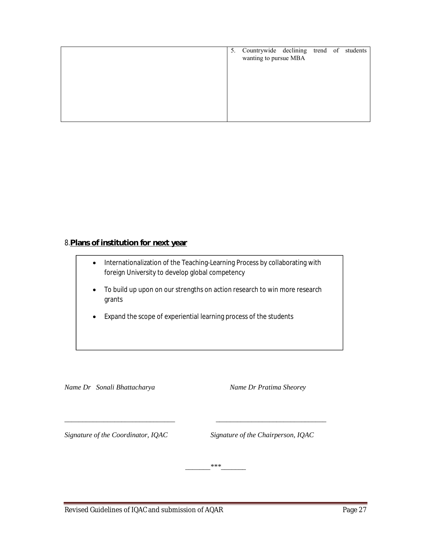|  | 5. Countrywide declining trend of students<br>wanting to pursue MBA |  |  |
|--|---------------------------------------------------------------------|--|--|
|  |                                                                     |  |  |
|  |                                                                     |  |  |
|  |                                                                     |  |  |

# 8.**Plans of institution for next year**

| $\bullet$ | Internationalization of the Teaching-Learning Process by collaborating with<br>foreign University to develop global competency |
|-----------|--------------------------------------------------------------------------------------------------------------------------------|
|           | To build up upon on our strengths on action research to win more research<br>grants                                            |
|           | Expand the scope of experiential learning process of the students                                                              |

*Name Dr Sonali Bhattacharya Name Dr Pratima Sheorey*

*Signature of the Coordinator, IQAC Signature of the Chairperson, IQAC*

*\_\_\_\_\_\_\_\*\*\*\_\_\_\_\_\_\_*

*\_\_\_\_\_\_\_\_\_\_\_\_\_\_\_\_\_\_\_\_\_\_\_\_\_\_\_\_\_\_\_ \_\_\_\_\_\_\_\_\_\_\_\_\_\_\_\_\_\_\_\_\_\_\_\_\_\_\_\_\_\_\_*